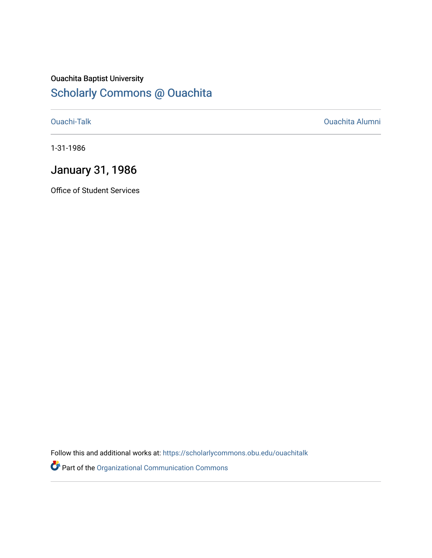## Ouachita Baptist University [Scholarly Commons @ Ouachita](https://scholarlycommons.obu.edu/)

[Ouachi-Talk](https://scholarlycommons.obu.edu/ouachitalk) [Ouachita Alumni](https://scholarlycommons.obu.edu/obu_alum) 

1-31-1986

## January 31, 1986

Office of Student Services

Follow this and additional works at: [https://scholarlycommons.obu.edu/ouachitalk](https://scholarlycommons.obu.edu/ouachitalk?utm_source=scholarlycommons.obu.edu%2Fouachitalk%2F44&utm_medium=PDF&utm_campaign=PDFCoverPages) 

Part of the [Organizational Communication Commons](http://network.bepress.com/hgg/discipline/335?utm_source=scholarlycommons.obu.edu%2Fouachitalk%2F44&utm_medium=PDF&utm_campaign=PDFCoverPages)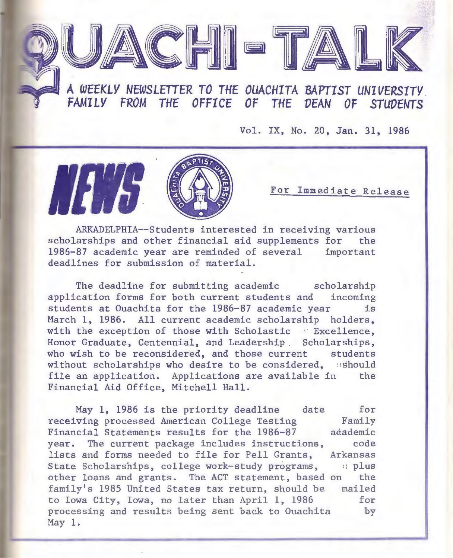## **A** *WEEKLY NEWSLETTER TO THE OUACHITA BAPTIST UNIVERSITY.*  FAMILY FROM THE OFFICE OF THE DEAN OF STUDENTS

PUACHI - TALK

Vol. IX, No. 20, Jan. 31, 1986

For Immediate Release

ARKADELPHIA--Students interested in receiving various scholarships and other financial aid supplements for the 1986-87 academic year are reminded of several important deadlines for submission of material.

The deadline for submitting academic scholarship application forms for both current students and incoming students at Ouachita for the 1986-87 academic year is March **1,** 1986. All current academic scholarship holders, with the exception of those with Scholastic · Excellence, Honor Graduate, Centennial, and Leadership. Scholarships, who wish to be reconsidered, and those current students without scholarships who desire to be considered, sshould file an application. Applications are available in the Financial Aid Office, Mitchell Hall.

May **1,** 1986 is the priority deadline date for receiving processed American College Testing Financial Statements results for the 1986-87 Family adademic code Arkansas :l plus other loans and grants. The ACT statement, based on the mailed year. The current package includes instructions, lists and forms needed to file for Pell Grants, State Scholarships, college work-study programs, family's 1985 United States tax return, should be to Iowa City, Iowa, no later than April **1,** 1986 processing and results being sent back to Ouachita May 1. for by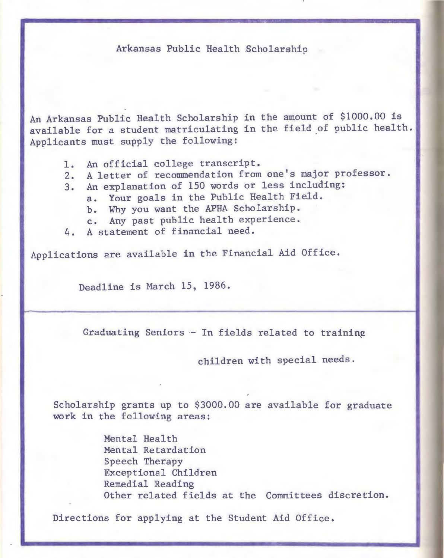## Arkansas Public Health .Scholarship

An Arkansas Public Health Scholarship in the amount of \$1000.00 is available for a student matriculating in the field of public health. Applicants must supply the following:

- 1. An official college transcript.
- 2. A letter of recommendation from one's major professor.
- 3. An explanation of 150 words or less including:
	- a. Your goals in the Public Health Field.
	- b. Why you want the APHA Scholarship.
	- c. Any past public health experience.
- 4. A statement of financial need.

Applications are available in the Financial Aid Office.

Deadline is March 15, 1986.

Graduating Seniors  $-$  In fields related to training

children with special needs.

Scholarship grants up to \$3000.00 are available for graduate work in the following areas:

> Mental Health Mental Retardation Speech Therapy Exceptional Children Remedial Reading Other related fields at the Committees discretion.

Directions for applying at the Student Aid Office.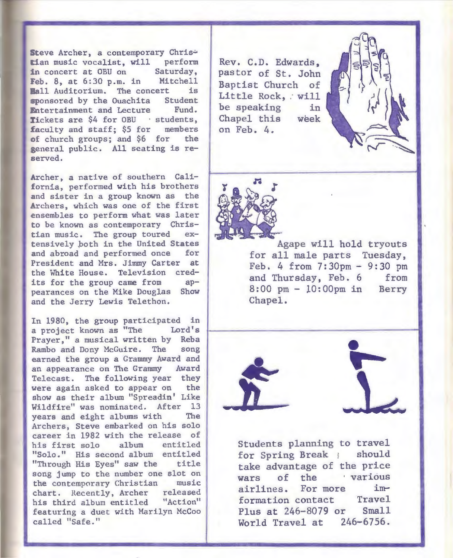Steve Archer, a contemporary Chris tian music vocalist, will perform<br>in concert at OBU on Saturday, in concert at  $OBU$  on Feb. 8, at 6:30 p.m. in Mitchell **Ball Auditorium.** The concert is<br>sponsored by the Quachita Student sponsored by the Ouachita Entertainment and Lecture Fund. Tickets are \$4 for OBU · students, £aculty and staff; \$5 for members of church groups; and \$6 for the general public. All seating is reserved.

Archer, a native of southern California, performed with his brothers and sister in a group known as the Archers, which was one of the first ensembles to perform what was later to be known as contemporary Christian music. The group toured extensively poth in the United States and abroad and performed once for President and Mrs. Jimmy Carter at the White House. Television credits for the group came from appearances on the Mike Douglas Show and the Jerry Lewis Telethon.

In 1980, the group participated in<br>a project known as "The Lord's a project known as "The Prayer," a musical written by Reba Rambo and Dony McGuire. The song earned the group a Grammy Award and an appearance on The Grammy Award Telecast. The following year they were again asked to appear on the show as their album "Spreadin' Like Wildfire" was nominated. After 13 years and eight albums with The Archers, Steve embarked on his solo career in 1982 with the release of his first solo album entitled "Solo." His second album entitled "Through His Eyes" saw the title song jump to the number one slot on the contemporary Christian music chart. Recently, Archer released his third album entitled "Action" featuring a duet with Marilyn McCoo called "Safe."

Rev. C.D. Edwards, pastor of St. John Baptist Church of Little Rock, will be speaking in Chapel this week on Feb. 4.



Agape will hold tryouts for all male parts Tuesday, Feb. 4 from  $7:30 \text{ pm} - 9:30 \text{ pm}$ and Thursday, Feb. 6 from 8:00 pm- lO:OOpm in Berry Chapel.





Students planning to travel for Spring Break } should take advantage of the price wars of the *various* airlines. For more imformation contact Travel Plus at 246-8079 or Small World Travel at 246-6756.